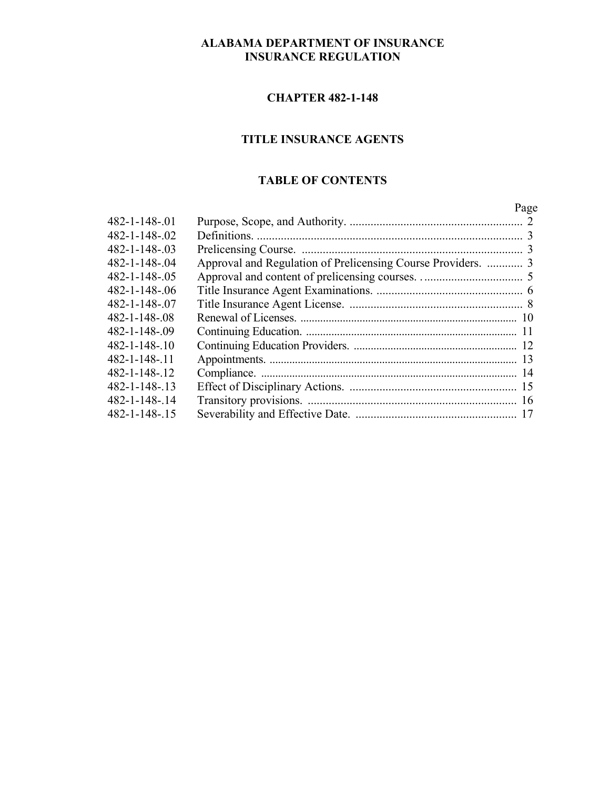# **ALABAMA DEPARTMENT OF INSURANCE INSURANCE REGULATION**

#### **CHAPTER 482-1-148**

# **TITLE INSURANCE AGENTS**

# **TABLE OF CONTENTS**

|               |                                                              | Page |
|---------------|--------------------------------------------------------------|------|
| 482-1-148-.01 |                                                              |      |
| 482-1-148-.02 |                                                              |      |
| 482-1-148-.03 |                                                              |      |
| 482-1-148-.04 | Approval and Regulation of Prelicensing Course Providers.  3 |      |
| 482-1-148-.05 |                                                              |      |
| 482-1-148-.06 |                                                              |      |
| 482-1-148-.07 |                                                              |      |
| 482-1-148-.08 |                                                              |      |
| 482-1-148-.09 |                                                              |      |
| 482-1-148-.10 |                                                              |      |
| 482-1-148-.11 |                                                              |      |
| 482-1-148-.12 |                                                              |      |
| 482-1-148-.13 |                                                              |      |
| 482-1-148-.14 |                                                              |      |
| 482-1-148-.15 |                                                              |      |
|               |                                                              |      |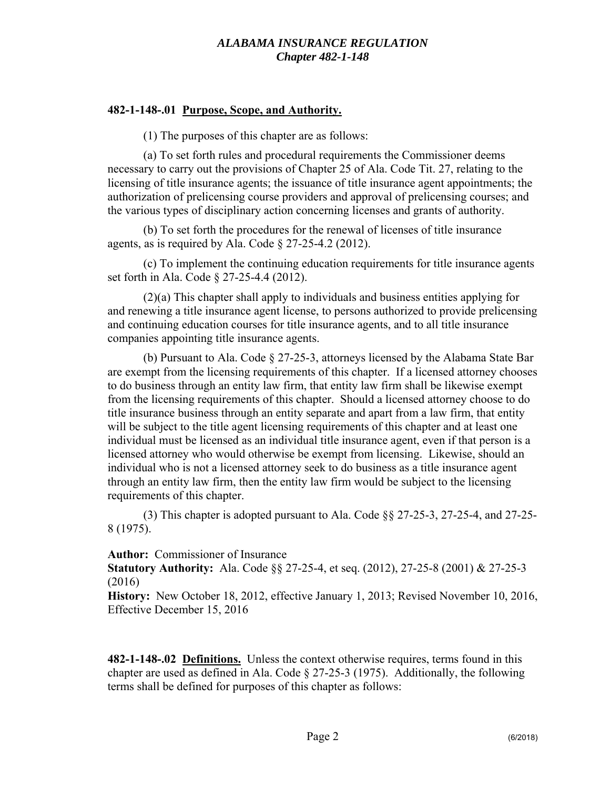## **482-1-148-.01 Purpose, Scope, and Authority.**

(1) The purposes of this chapter are as follows:

(a) To set forth rules and procedural requirements the Commissioner deems necessary to carry out the provisions of Chapter 25 of Ala. Code Tit. 27, relating to the licensing of title insurance agents; the issuance of title insurance agent appointments; the authorization of prelicensing course providers and approval of prelicensing courses; and the various types of disciplinary action concerning licenses and grants of authority.

(b) To set forth the procedures for the renewal of licenses of title insurance agents, as is required by Ala. Code  $\S 27-25-4.2$  (2012).

(c) To implement the continuing education requirements for title insurance agents set forth in Ala. Code § 27-25-4.4 (2012).

(2)(a) This chapter shall apply to individuals and business entities applying for and renewing a title insurance agent license, to persons authorized to provide prelicensing and continuing education courses for title insurance agents, and to all title insurance companies appointing title insurance agents.

(b) Pursuant to Ala. Code § 27-25-3, attorneys licensed by the Alabama State Bar are exempt from the licensing requirements of this chapter. If a licensed attorney chooses to do business through an entity law firm, that entity law firm shall be likewise exempt from the licensing requirements of this chapter. Should a licensed attorney choose to do title insurance business through an entity separate and apart from a law firm, that entity will be subject to the title agent licensing requirements of this chapter and at least one individual must be licensed as an individual title insurance agent, even if that person is a licensed attorney who would otherwise be exempt from licensing. Likewise, should an individual who is not a licensed attorney seek to do business as a title insurance agent through an entity law firm, then the entity law firm would be subject to the licensing requirements of this chapter.

(3) This chapter is adopted pursuant to Ala. Code §§ 27-25-3, 27-25-4, and 27-25- 8 (1975).

**Author:** Commissioner of Insurance

**Statutory Authority:** Ala. Code §§ 27-25-4, et seq. (2012), 27-25-8 (2001) & 27-25-3 (2016)

**History:** New October 18, 2012, effective January 1, 2013; Revised November 10, 2016, Effective December 15, 2016

**482-1-148-.02 Definitions.** Unless the context otherwise requires, terms found in this chapter are used as defined in Ala. Code § 27-25-3 (1975). Additionally, the following terms shall be defined for purposes of this chapter as follows: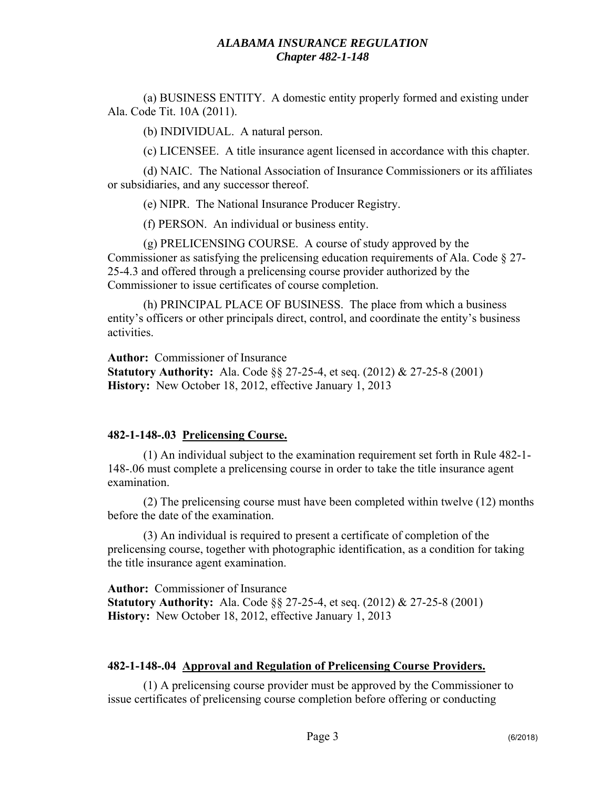(a) BUSINESS ENTITY. A domestic entity properly formed and existing under Ala. Code Tit. 10A (2011).

(b) INDIVIDUAL. A natural person.

(c) LICENSEE. A title insurance agent licensed in accordance with this chapter.

(d) NAIC. The National Association of Insurance Commissioners or its affiliates or subsidiaries, and any successor thereof.

(e) NIPR. The National Insurance Producer Registry.

(f) PERSON. An individual or business entity.

(g) PRELICENSING COURSE. A course of study approved by the Commissioner as satisfying the prelicensing education requirements of Ala. Code § 27- 25-4.3 and offered through a prelicensing course provider authorized by the Commissioner to issue certificates of course completion.

(h) PRINCIPAL PLACE OF BUSINESS. The place from which a business entity's officers or other principals direct, control, and coordinate the entity's business activities.

**Author:** Commissioner of Insurance

**Statutory Authority:** Ala. Code §§ 27-25-4, et seq. (2012) & 27-25-8 (2001) **History:** New October 18, 2012, effective January 1, 2013

# **482-1-148-.03 Prelicensing Course.**

(1) An individual subject to the examination requirement set forth in Rule 482-1- 148-.06 must complete a prelicensing course in order to take the title insurance agent examination.

(2) The prelicensing course must have been completed within twelve (12) months before the date of the examination.

(3) An individual is required to present a certificate of completion of the prelicensing course, together with photographic identification, as a condition for taking the title insurance agent examination.

**Author:** Commissioner of Insurance **Statutory Authority:** Ala. Code §§ 27-25-4, et seq. (2012) & 27-25-8 (2001) **History:** New October 18, 2012, effective January 1, 2013

#### **482-1-148-.04 Approval and Regulation of Prelicensing Course Providers.**

(1) A prelicensing course provider must be approved by the Commissioner to issue certificates of prelicensing course completion before offering or conducting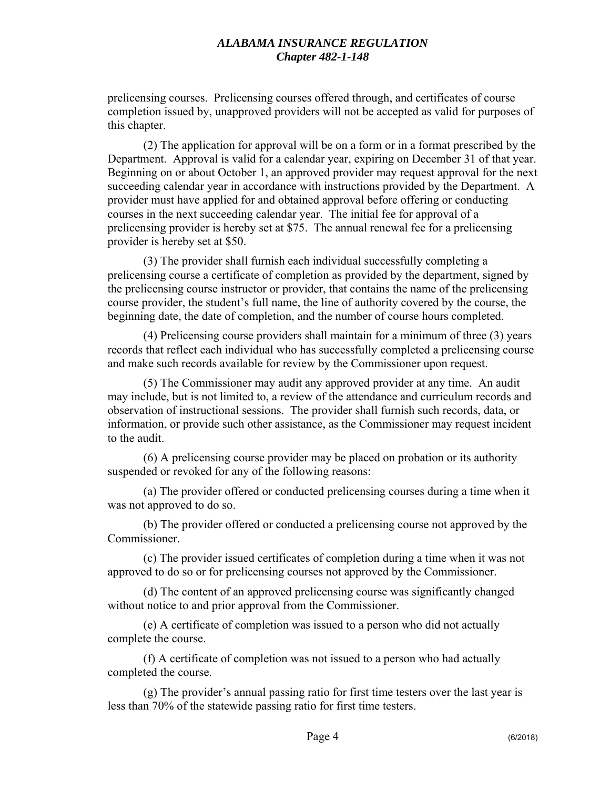prelicensing courses. Prelicensing courses offered through, and certificates of course completion issued by, unapproved providers will not be accepted as valid for purposes of this chapter.

(2) The application for approval will be on a form or in a format prescribed by the Department. Approval is valid for a calendar year, expiring on December 31 of that year. Beginning on or about October 1, an approved provider may request approval for the next succeeding calendar year in accordance with instructions provided by the Department. A provider must have applied for and obtained approval before offering or conducting courses in the next succeeding calendar year. The initial fee for approval of a prelicensing provider is hereby set at \$75. The annual renewal fee for a prelicensing provider is hereby set at \$50.

(3) The provider shall furnish each individual successfully completing a prelicensing course a certificate of completion as provided by the department, signed by the prelicensing course instructor or provider, that contains the name of the prelicensing course provider, the student's full name, the line of authority covered by the course, the beginning date, the date of completion, and the number of course hours completed.

(4) Prelicensing course providers shall maintain for a minimum of three (3) years records that reflect each individual who has successfully completed a prelicensing course and make such records available for review by the Commissioner upon request.

(5) The Commissioner may audit any approved provider at any time. An audit may include, but is not limited to, a review of the attendance and curriculum records and observation of instructional sessions. The provider shall furnish such records, data, or information, or provide such other assistance, as the Commissioner may request incident to the audit.

(6) A prelicensing course provider may be placed on probation or its authority suspended or revoked for any of the following reasons:

(a) The provider offered or conducted prelicensing courses during a time when it was not approved to do so.

(b) The provider offered or conducted a prelicensing course not approved by the Commissioner.

(c) The provider issued certificates of completion during a time when it was not approved to do so or for prelicensing courses not approved by the Commissioner.

(d) The content of an approved prelicensing course was significantly changed without notice to and prior approval from the Commissioner.

(e) A certificate of completion was issued to a person who did not actually complete the course.

(f) A certificate of completion was not issued to a person who had actually completed the course.

(g) The provider's annual passing ratio for first time testers over the last year is less than 70% of the statewide passing ratio for first time testers.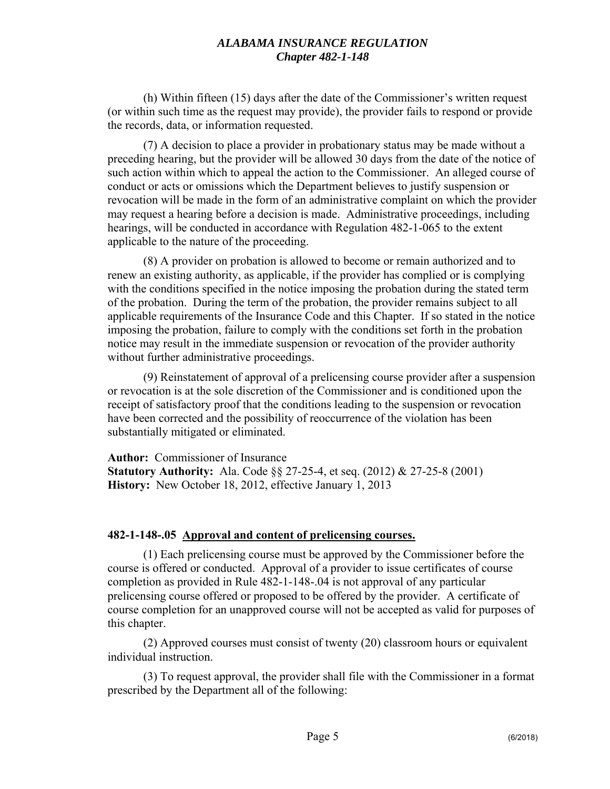(h) Within fifteen (15) days after the date of the Commissioner's written request (or within such time as the request may provide), the provider fails to respond or provide the records, data, or information requested.

(7) A decision to place a provider in probationary status may be made without a preceding hearing, but the provider will be allowed 30 days from the date of the notice of such action within which to appeal the action to the Commissioner. An alleged course of conduct or acts or omissions which the Department believes to justify suspension or revocation will be made in the form of an administrative complaint on which the provider may request a hearing before a decision is made. Administrative proceedings, including hearings, will be conducted in accordance with Regulation 482-1-065 to the extent applicable to the nature of the proceeding.

(8) A provider on probation is allowed to become or remain authorized and to renew an existing authority, as applicable, if the provider has complied or is complying with the conditions specified in the notice imposing the probation during the stated term of the probation. During the term of the probation, the provider remains subject to all applicable requirements of the Insurance Code and this Chapter. If so stated in the notice imposing the probation, failure to comply with the conditions set forth in the probation notice may result in the immediate suspension or revocation of the provider authority without further administrative proceedings.

(9) Reinstatement of approval of a prelicensing course provider after a suspension or revocation is at the sole discretion of the Commissioner and is conditioned upon the receipt of satisfactory proof that the conditions leading to the suspension or revocation have been corrected and the possibility of reoccurrence of the violation has been substantially mitigated or eliminated.

**Author:** Commissioner of Insurance **Statutory Authority:** Ala. Code §§ 27-25-4, et seq. (2012) & 27-25-8 (2001) **History:** New October 18, 2012, effective January 1, 2013

#### **482-1-148-.05 Approval and content of prelicensing courses.**

(1) Each prelicensing course must be approved by the Commissioner before the course is offered or conducted. Approval of a provider to issue certificates of course completion as provided in Rule 482-1-148-.04 is not approval of any particular prelicensing course offered or proposed to be offered by the provider. A certificate of course completion for an unapproved course will not be accepted as valid for purposes of this chapter.

(2) Approved courses must consist of twenty (20) classroom hours or equivalent individual instruction.

(3) To request approval, the provider shall file with the Commissioner in a format prescribed by the Department all of the following: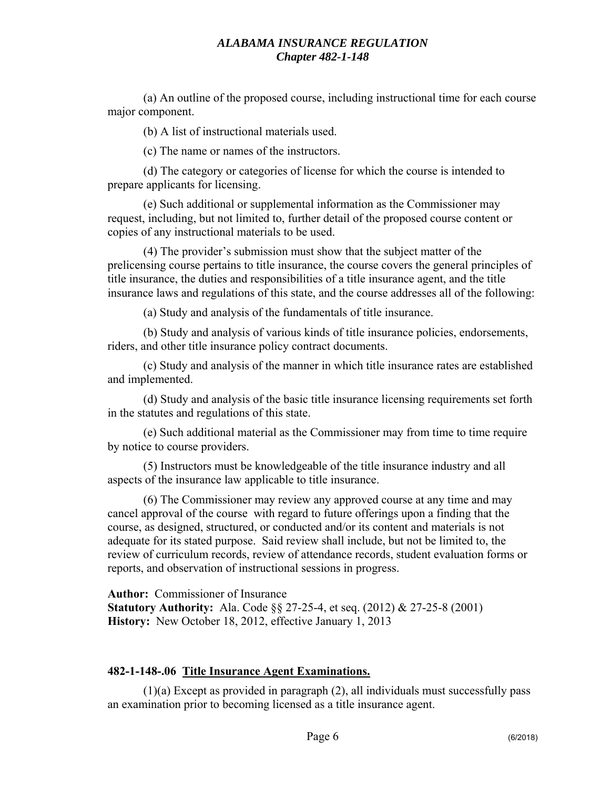(a) An outline of the proposed course, including instructional time for each course major component.

(b) A list of instructional materials used.

(c) The name or names of the instructors.

(d) The category or categories of license for which the course is intended to prepare applicants for licensing.

(e) Such additional or supplemental information as the Commissioner may request, including, but not limited to, further detail of the proposed course content or copies of any instructional materials to be used.

(4) The provider's submission must show that the subject matter of the prelicensing course pertains to title insurance, the course covers the general principles of title insurance, the duties and responsibilities of a title insurance agent, and the title insurance laws and regulations of this state, and the course addresses all of the following:

(a) Study and analysis of the fundamentals of title insurance.

(b) Study and analysis of various kinds of title insurance policies, endorsements, riders, and other title insurance policy contract documents.

(c) Study and analysis of the manner in which title insurance rates are established and implemented.

(d) Study and analysis of the basic title insurance licensing requirements set forth in the statutes and regulations of this state.

(e) Such additional material as the Commissioner may from time to time require by notice to course providers.

(5) Instructors must be knowledgeable of the title insurance industry and all aspects of the insurance law applicable to title insurance.

(6) The Commissioner may review any approved course at any time and may cancel approval of the course with regard to future offerings upon a finding that the course, as designed, structured, or conducted and/or its content and materials is not adequate for its stated purpose. Said review shall include, but not be limited to, the review of curriculum records, review of attendance records, student evaluation forms or reports, and observation of instructional sessions in progress.

**Author:** Commissioner of Insurance **Statutory Authority:** Ala. Code §§ 27-25-4, et seq. (2012) & 27-25-8 (2001) **History:** New October 18, 2012, effective January 1, 2013

#### **482-1-148-.06 Title Insurance Agent Examinations.**

(1)(a) Except as provided in paragraph (2), all individuals must successfully pass an examination prior to becoming licensed as a title insurance agent.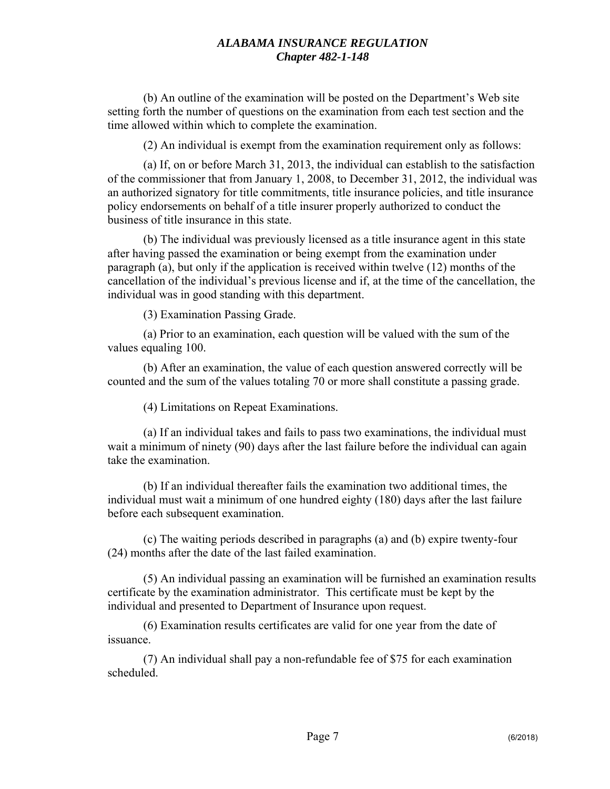(b) An outline of the examination will be posted on the Department's Web site setting forth the number of questions on the examination from each test section and the time allowed within which to complete the examination.

(2) An individual is exempt from the examination requirement only as follows:

(a) If, on or before March 31, 2013, the individual can establish to the satisfaction of the commissioner that from January 1, 2008, to December 31, 2012, the individual was an authorized signatory for title commitments, title insurance policies, and title insurance policy endorsements on behalf of a title insurer properly authorized to conduct the business of title insurance in this state.

(b) The individual was previously licensed as a title insurance agent in this state after having passed the examination or being exempt from the examination under paragraph (a), but only if the application is received within twelve (12) months of the cancellation of the individual's previous license and if, at the time of the cancellation, the individual was in good standing with this department.

(3) Examination Passing Grade.

(a) Prior to an examination, each question will be valued with the sum of the values equaling 100.

(b) After an examination, the value of each question answered correctly will be counted and the sum of the values totaling 70 or more shall constitute a passing grade.

(4) Limitations on Repeat Examinations.

(a) If an individual takes and fails to pass two examinations, the individual must wait a minimum of ninety (90) days after the last failure before the individual can again take the examination.

(b) If an individual thereafter fails the examination two additional times, the individual must wait a minimum of one hundred eighty (180) days after the last failure before each subsequent examination.

(c) The waiting periods described in paragraphs (a) and (b) expire twenty-four (24) months after the date of the last failed examination.

(5) An individual passing an examination will be furnished an examination results certificate by the examination administrator. This certificate must be kept by the individual and presented to Department of Insurance upon request.

(6) Examination results certificates are valid for one year from the date of issuance.

(7) An individual shall pay a non-refundable fee of \$75 for each examination scheduled.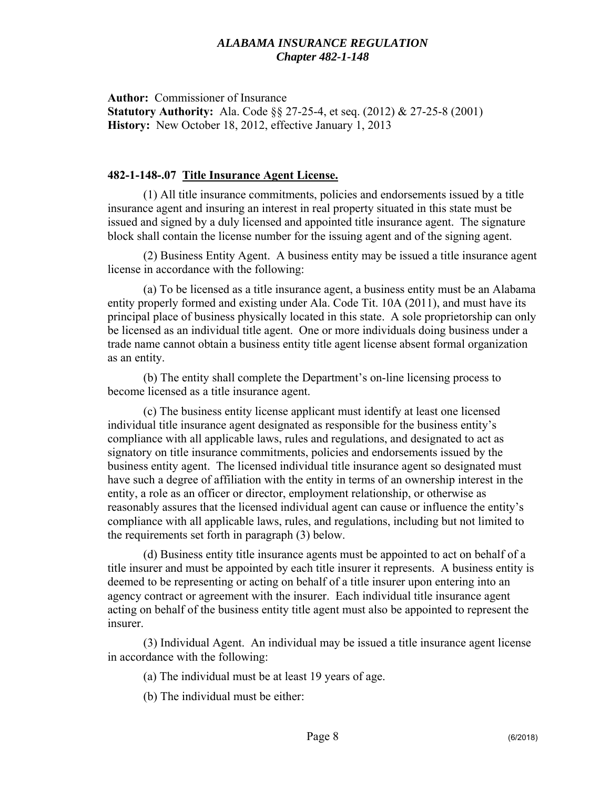**Author:** Commissioner of Insurance **Statutory Authority:** Ala. Code §§ 27-25-4, et seq. (2012) & 27-25-8 (2001) **History:** New October 18, 2012, effective January 1, 2013

### **482-1-148-.07 Title Insurance Agent License.**

(1) All title insurance commitments, policies and endorsements issued by a title insurance agent and insuring an interest in real property situated in this state must be issued and signed by a duly licensed and appointed title insurance agent. The signature block shall contain the license number for the issuing agent and of the signing agent.

(2) Business Entity Agent. A business entity may be issued a title insurance agent license in accordance with the following:

(a) To be licensed as a title insurance agent, a business entity must be an Alabama entity properly formed and existing under Ala. Code Tit. 10A (2011), and must have its principal place of business physically located in this state. A sole proprietorship can only be licensed as an individual title agent. One or more individuals doing business under a trade name cannot obtain a business entity title agent license absent formal organization as an entity.

(b) The entity shall complete the Department's on-line licensing process to become licensed as a title insurance agent.

(c) The business entity license applicant must identify at least one licensed individual title insurance agent designated as responsible for the business entity's compliance with all applicable laws, rules and regulations, and designated to act as signatory on title insurance commitments, policies and endorsements issued by the business entity agent. The licensed individual title insurance agent so designated must have such a degree of affiliation with the entity in terms of an ownership interest in the entity, a role as an officer or director, employment relationship, or otherwise as reasonably assures that the licensed individual agent can cause or influence the entity's compliance with all applicable laws, rules, and regulations, including but not limited to the requirements set forth in paragraph (3) below.

(d) Business entity title insurance agents must be appointed to act on behalf of a title insurer and must be appointed by each title insurer it represents. A business entity is deemed to be representing or acting on behalf of a title insurer upon entering into an agency contract or agreement with the insurer. Each individual title insurance agent acting on behalf of the business entity title agent must also be appointed to represent the insurer.

(3) Individual Agent. An individual may be issued a title insurance agent license in accordance with the following:

(a) The individual must be at least 19 years of age.

(b) The individual must be either: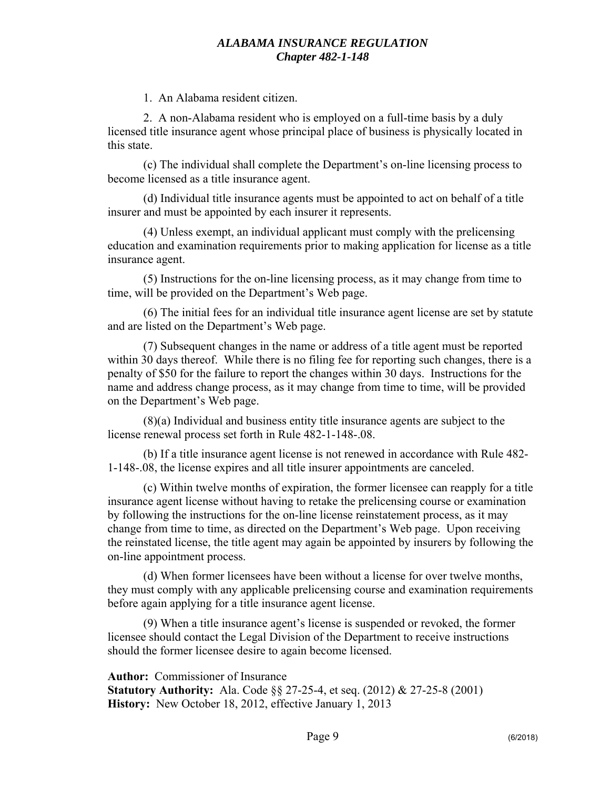1. An Alabama resident citizen.

2. A non-Alabama resident who is employed on a full-time basis by a duly licensed title insurance agent whose principal place of business is physically located in this state.

(c) The individual shall complete the Department's on-line licensing process to become licensed as a title insurance agent.

(d) Individual title insurance agents must be appointed to act on behalf of a title insurer and must be appointed by each insurer it represents.

(4) Unless exempt, an individual applicant must comply with the prelicensing education and examination requirements prior to making application for license as a title insurance agent.

(5) Instructions for the on-line licensing process, as it may change from time to time, will be provided on the Department's Web page.

(6) The initial fees for an individual title insurance agent license are set by statute and are listed on the Department's Web page.

(7) Subsequent changes in the name or address of a title agent must be reported within 30 days thereof. While there is no filing fee for reporting such changes, there is a penalty of \$50 for the failure to report the changes within 30 days. Instructions for the name and address change process, as it may change from time to time, will be provided on the Department's Web page.

(8)(a) Individual and business entity title insurance agents are subject to the license renewal process set forth in Rule 482-1-148-.08.

(b) If a title insurance agent license is not renewed in accordance with Rule 482- 1-148-.08, the license expires and all title insurer appointments are canceled.

(c) Within twelve months of expiration, the former licensee can reapply for a title insurance agent license without having to retake the prelicensing course or examination by following the instructions for the on-line license reinstatement process, as it may change from time to time, as directed on the Department's Web page. Upon receiving the reinstated license, the title agent may again be appointed by insurers by following the on-line appointment process.

(d) When former licensees have been without a license for over twelve months, they must comply with any applicable prelicensing course and examination requirements before again applying for a title insurance agent license.

(9) When a title insurance agent's license is suspended or revoked, the former licensee should contact the Legal Division of the Department to receive instructions should the former licensee desire to again become licensed.

**Author:** Commissioner of Insurance **Statutory Authority:** Ala. Code §§ 27-25-4, et seq. (2012) & 27-25-8 (2001) **History:** New October 18, 2012, effective January 1, 2013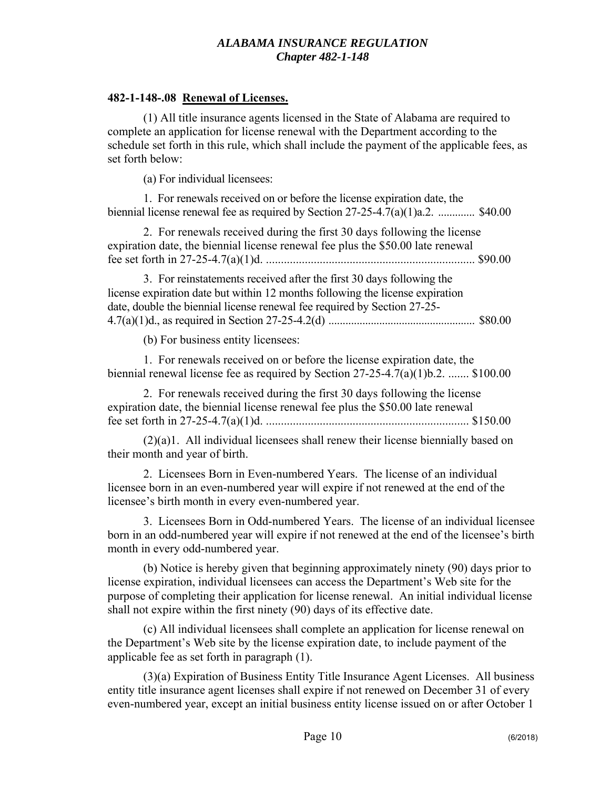#### **482-1-148-.08 Renewal of Licenses.**

(1) All title insurance agents licensed in the State of Alabama are required to complete an application for license renewal with the Department according to the schedule set forth in this rule, which shall include the payment of the applicable fees, as set forth below:

(a) For individual licensees:

1. For renewals received on or before the license expiration date, the biennial license renewal fee as required by Section  $27-25-4.7(a)(1)a.2$ . .............. \$40.00

2. For renewals received during the first 30 days following the license expiration date, the biennial license renewal fee plus the \$50.00 late renewal fee set forth in 27-25-4.7(a)(1)d. ...................................................................... \$90.00

3. For reinstatements received after the first 30 days following the license expiration date but within 12 months following the license expiration date, double the biennial license renewal fee required by Section 27-25- 4.7(a)(1)d., as required in Section 27-25-4.2(d) .................................................... \$80.00

(b) For business entity licensees:

1. For renewals received on or before the license expiration date, the biennial renewal license fee as required by Section 27-25-4.7(a)(1)b.2. ....... \$100.00

2. For renewals received during the first 30 days following the license expiration date, the biennial license renewal fee plus the \$50.00 late renewal fee set forth in 27-25-4.7(a)(1)d. .................................................................... \$150.00

(2)(a)1. All individual licensees shall renew their license biennially based on their month and year of birth.

2. Licensees Born in Even-numbered Years. The license of an individual licensee born in an even-numbered year will expire if not renewed at the end of the licensee's birth month in every even-numbered year.

3. Licensees Born in Odd-numbered Years. The license of an individual licensee born in an odd-numbered year will expire if not renewed at the end of the licensee's birth month in every odd-numbered year.

(b) Notice is hereby given that beginning approximately ninety (90) days prior to license expiration, individual licensees can access the Department's Web site for the purpose of completing their application for license renewal. An initial individual license shall not expire within the first ninety (90) days of its effective date.

(c) All individual licensees shall complete an application for license renewal on the Department's Web site by the license expiration date, to include payment of the applicable fee as set forth in paragraph (1).

(3)(a) Expiration of Business Entity Title Insurance Agent Licenses. All business entity title insurance agent licenses shall expire if not renewed on December 31 of every even-numbered year, except an initial business entity license issued on or after October 1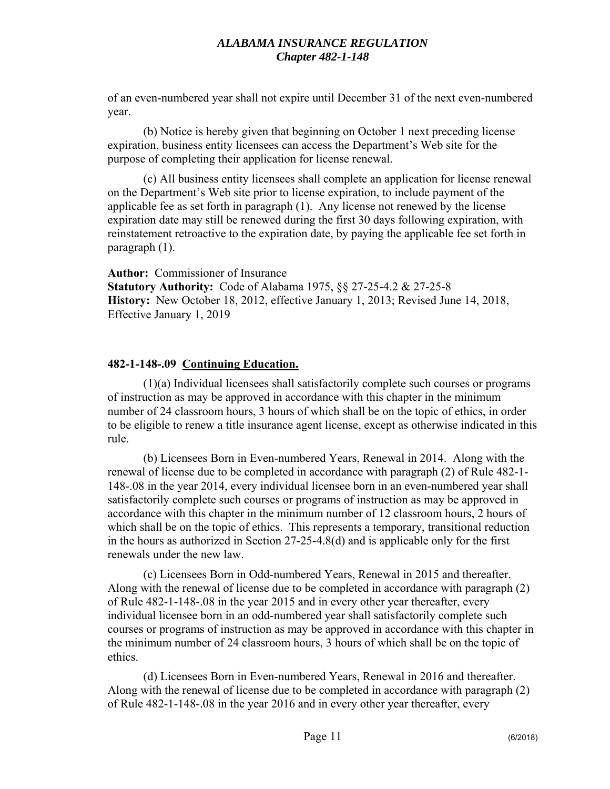of an even-numbered year shall not expire until December 31 of the next even-numbered year.

(b) Notice is hereby given that beginning on October 1 next preceding license expiration, business entity licensees can access the Department's Web site for the purpose of completing their application for license renewal.

(c) All business entity licensees shall complete an application for license renewal on the Department's Web site prior to license expiration, to include payment of the applicable fee as set forth in paragraph (1). Any license not renewed by the license expiration date may still be renewed during the first 30 days following expiration, with reinstatement retroactive to the expiration date, by paying the applicable fee set forth in paragraph (1).

**Author:** Commissioner of Insurance **Statutory Authority:** Code of Alabama 1975, §§ 27-25-4.2 & 27-25-8 **History:** New October 18, 2012, effective January 1, 2013; Revised June 14, 2018, Effective January 1, 2019

## **482-1-148-.09 Continuing Education.**

(1)(a) Individual licensees shall satisfactorily complete such courses or programs of instruction as may be approved in accordance with this chapter in the minimum number of 24 classroom hours, 3 hours of which shall be on the topic of ethics, in order to be eligible to renew a title insurance agent license, except as otherwise indicated in this rule.

(b) Licensees Born in Even-numbered Years, Renewal in 2014. Along with the renewal of license due to be completed in accordance with paragraph (2) of Rule 482-1- 148-.08 in the year 2014, every individual licensee born in an even-numbered year shall satisfactorily complete such courses or programs of instruction as may be approved in accordance with this chapter in the minimum number of 12 classroom hours, 2 hours of which shall be on the topic of ethics. This represents a temporary, transitional reduction in the hours as authorized in Section 27-25-4.8(d) and is applicable only for the first renewals under the new law.

(c) Licensees Born in Odd-numbered Years, Renewal in 2015 and thereafter. Along with the renewal of license due to be completed in accordance with paragraph (2) of Rule 482-1-148-.08 in the year 2015 and in every other year thereafter, every individual licensee born in an odd-numbered year shall satisfactorily complete such courses or programs of instruction as may be approved in accordance with this chapter in the minimum number of 24 classroom hours, 3 hours of which shall be on the topic of ethics.

(d) Licensees Born in Even-numbered Years, Renewal in 2016 and thereafter. Along with the renewal of license due to be completed in accordance with paragraph (2) of Rule 482-1-148-.08 in the year 2016 and in every other year thereafter, every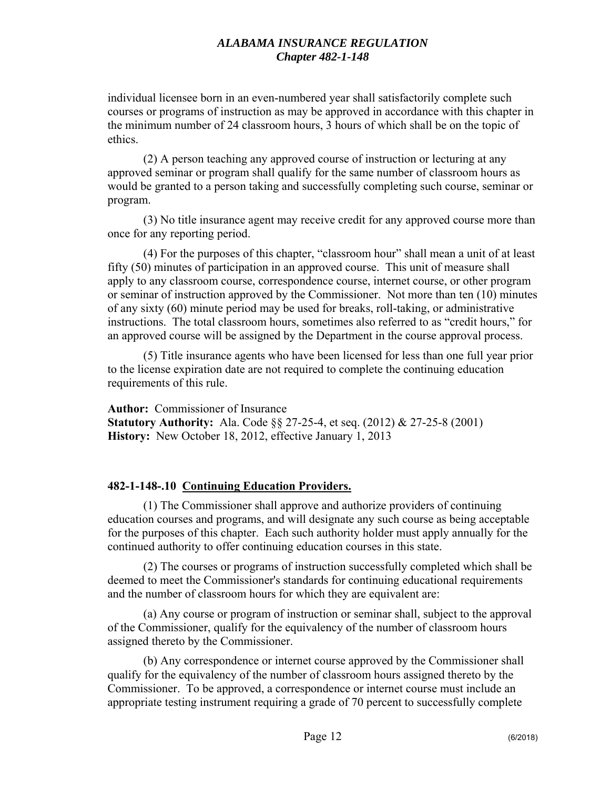individual licensee born in an even-numbered year shall satisfactorily complete such courses or programs of instruction as may be approved in accordance with this chapter in the minimum number of 24 classroom hours, 3 hours of which shall be on the topic of ethics.

(2) A person teaching any approved course of instruction or lecturing at any approved seminar or program shall qualify for the same number of classroom hours as would be granted to a person taking and successfully completing such course, seminar or program.

(3) No title insurance agent may receive credit for any approved course more than once for any reporting period.

(4) For the purposes of this chapter, "classroom hour" shall mean a unit of at least fifty (50) minutes of participation in an approved course. This unit of measure shall apply to any classroom course, correspondence course, internet course, or other program or seminar of instruction approved by the Commissioner. Not more than ten (10) minutes of any sixty (60) minute period may be used for breaks, roll-taking, or administrative instructions. The total classroom hours, sometimes also referred to as "credit hours," for an approved course will be assigned by the Department in the course approval process.

(5) Title insurance agents who have been licensed for less than one full year prior to the license expiration date are not required to complete the continuing education requirements of this rule.

**Author:** Commissioner of Insurance **Statutory Authority:** Ala. Code §§ 27-25-4, et seq. (2012) & 27-25-8 (2001) **History:** New October 18, 2012, effective January 1, 2013

# **482-1-148-.10 Continuing Education Providers.**

(1) The Commissioner shall approve and authorize providers of continuing education courses and programs, and will designate any such course as being acceptable for the purposes of this chapter. Each such authority holder must apply annually for the continued authority to offer continuing education courses in this state.

(2) The courses or programs of instruction successfully completed which shall be deemed to meet the Commissioner's standards for continuing educational requirements and the number of classroom hours for which they are equivalent are:

(a) Any course or program of instruction or seminar shall, subject to the approval of the Commissioner, qualify for the equivalency of the number of classroom hours assigned thereto by the Commissioner.

(b) Any correspondence or internet course approved by the Commissioner shall qualify for the equivalency of the number of classroom hours assigned thereto by the Commissioner. To be approved, a correspondence or internet course must include an appropriate testing instrument requiring a grade of 70 percent to successfully complete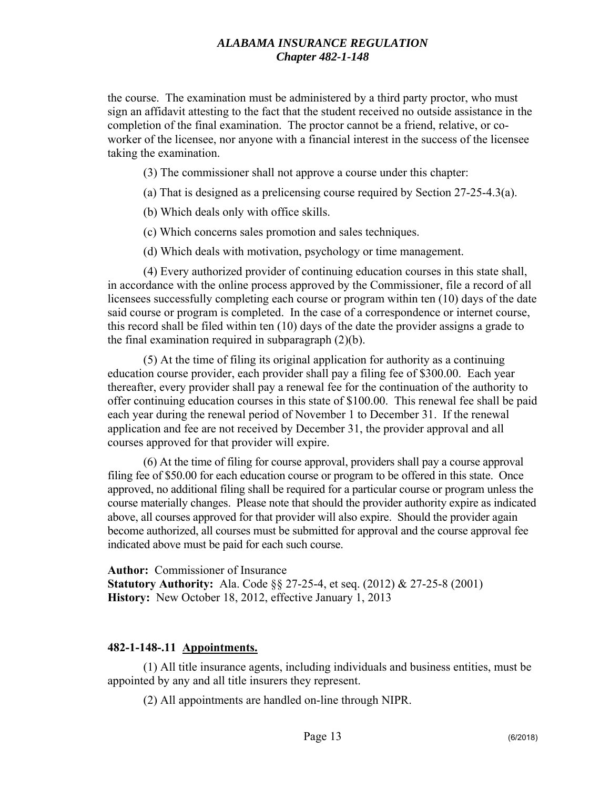the course. The examination must be administered by a third party proctor, who must sign an affidavit attesting to the fact that the student received no outside assistance in the completion of the final examination. The proctor cannot be a friend, relative, or coworker of the licensee, nor anyone with a financial interest in the success of the licensee taking the examination.

(3) The commissioner shall not approve a course under this chapter:

(a) That is designed as a prelicensing course required by Section 27-25-4.3(a).

(b) Which deals only with office skills.

(c) Which concerns sales promotion and sales techniques.

(d) Which deals with motivation, psychology or time management.

(4) Every authorized provider of continuing education courses in this state shall, in accordance with the online process approved by the Commissioner, file a record of all licensees successfully completing each course or program within ten (10) days of the date said course or program is completed. In the case of a correspondence or internet course, this record shall be filed within ten (10) days of the date the provider assigns a grade to the final examination required in subparagraph  $(2)(b)$ .

(5) At the time of filing its original application for authority as a continuing education course provider, each provider shall pay a filing fee of \$300.00. Each year thereafter, every provider shall pay a renewal fee for the continuation of the authority to offer continuing education courses in this state of \$100.00. This renewal fee shall be paid each year during the renewal period of November 1 to December 31. If the renewal application and fee are not received by December 31, the provider approval and all courses approved for that provider will expire.

(6) At the time of filing for course approval, providers shall pay a course approval filing fee of \$50.00 for each education course or program to be offered in this state. Once approved, no additional filing shall be required for a particular course or program unless the course materially changes. Please note that should the provider authority expire as indicated above, all courses approved for that provider will also expire. Should the provider again become authorized, all courses must be submitted for approval and the course approval fee indicated above must be paid for each such course.

**Author:** Commissioner of Insurance **Statutory Authority:** Ala. Code §§ 27-25-4, et seq. (2012) & 27-25-8 (2001) **History:** New October 18, 2012, effective January 1, 2013

#### **482-1-148-.11 Appointments.**

(1) All title insurance agents, including individuals and business entities, must be appointed by any and all title insurers they represent.

(2) All appointments are handled on-line through NIPR.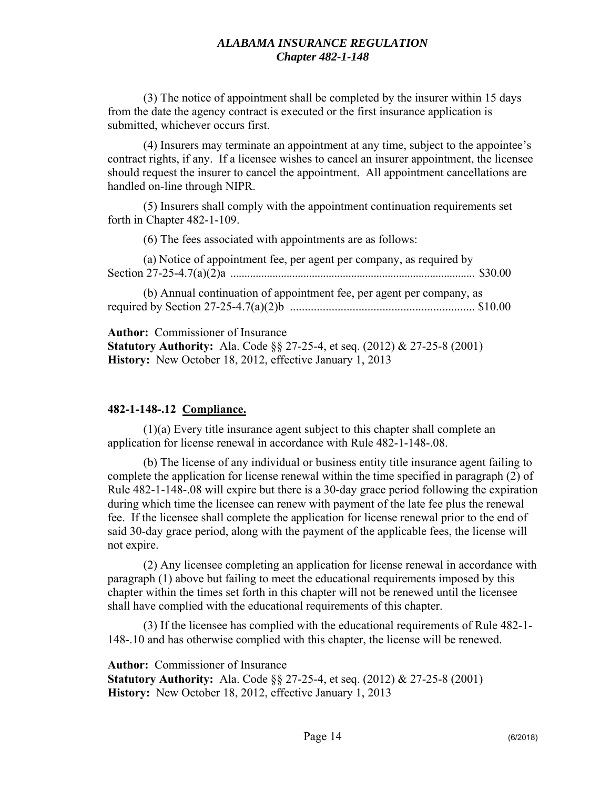(3) The notice of appointment shall be completed by the insurer within 15 days from the date the agency contract is executed or the first insurance application is submitted, whichever occurs first.

(4) Insurers may terminate an appointment at any time, subject to the appointee's contract rights, if any. If a licensee wishes to cancel an insurer appointment, the licensee should request the insurer to cancel the appointment. All appointment cancellations are handled on-line through NIPR.

(5) Insurers shall comply with the appointment continuation requirements set forth in Chapter 482-1-109.

(6) The fees associated with appointments are as follows:

(a) Notice of appointment fee, per agent per company, as required by Section 27-25-4.7(a)(2)a ....................................................................................... \$30.00

(b) Annual continuation of appointment fee, per agent per company, as required by Section 27-25-4.7(a)(2)b .............................................................. \$10.00

**Author:** Commissioner of Insurance

**Statutory Authority:** Ala. Code §§ 27-25-4, et seq. (2012) & 27-25-8 (2001) **History:** New October 18, 2012, effective January 1, 2013

# **482-1-148-.12 Compliance.**

(1)(a) Every title insurance agent subject to this chapter shall complete an application for license renewal in accordance with Rule 482-1-148-.08.

(b) The license of any individual or business entity title insurance agent failing to complete the application for license renewal within the time specified in paragraph (2) of Rule 482-1-148-.08 will expire but there is a 30-day grace period following the expiration during which time the licensee can renew with payment of the late fee plus the renewal fee. If the licensee shall complete the application for license renewal prior to the end of said 30-day grace period, along with the payment of the applicable fees, the license will not expire.

(2) Any licensee completing an application for license renewal in accordance with paragraph (1) above but failing to meet the educational requirements imposed by this chapter within the times set forth in this chapter will not be renewed until the licensee shall have complied with the educational requirements of this chapter.

(3) If the licensee has complied with the educational requirements of Rule 482-1- 148-.10 and has otherwise complied with this chapter, the license will be renewed.

**Author:** Commissioner of Insurance

**Statutory Authority:** Ala. Code §§ 27-25-4, et seq. (2012) & 27-25-8 (2001) **History:** New October 18, 2012, effective January 1, 2013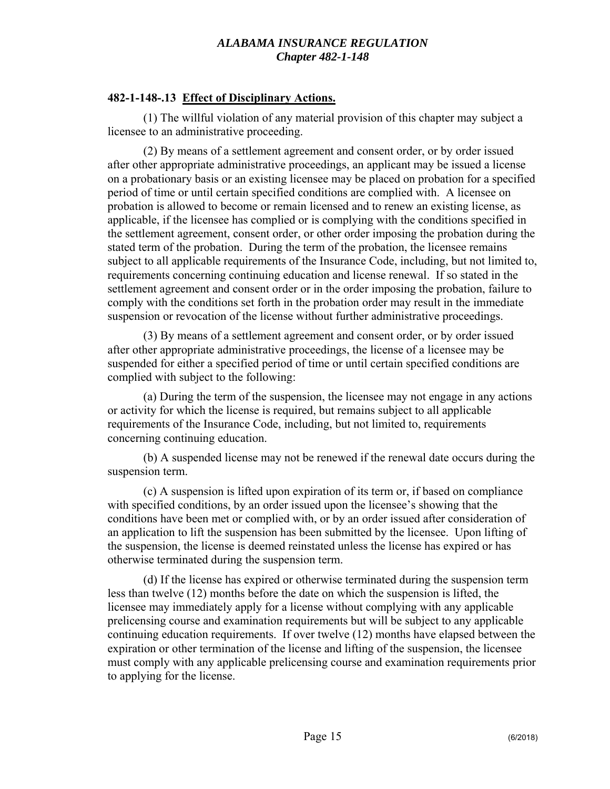## **482-1-148-.13 Effect of Disciplinary Actions.**

(1) The willful violation of any material provision of this chapter may subject a licensee to an administrative proceeding.

(2) By means of a settlement agreement and consent order, or by order issued after other appropriate administrative proceedings, an applicant may be issued a license on a probationary basis or an existing licensee may be placed on probation for a specified period of time or until certain specified conditions are complied with. A licensee on probation is allowed to become or remain licensed and to renew an existing license, as applicable, if the licensee has complied or is complying with the conditions specified in the settlement agreement, consent order, or other order imposing the probation during the stated term of the probation. During the term of the probation, the licensee remains subject to all applicable requirements of the Insurance Code, including, but not limited to, requirements concerning continuing education and license renewal. If so stated in the settlement agreement and consent order or in the order imposing the probation, failure to comply with the conditions set forth in the probation order may result in the immediate suspension or revocation of the license without further administrative proceedings.

(3) By means of a settlement agreement and consent order, or by order issued after other appropriate administrative proceedings, the license of a licensee may be suspended for either a specified period of time or until certain specified conditions are complied with subject to the following:

(a) During the term of the suspension, the licensee may not engage in any actions or activity for which the license is required, but remains subject to all applicable requirements of the Insurance Code, including, but not limited to, requirements concerning continuing education.

(b) A suspended license may not be renewed if the renewal date occurs during the suspension term.

(c) A suspension is lifted upon expiration of its term or, if based on compliance with specified conditions, by an order issued upon the licensee's showing that the conditions have been met or complied with, or by an order issued after consideration of an application to lift the suspension has been submitted by the licensee. Upon lifting of the suspension, the license is deemed reinstated unless the license has expired or has otherwise terminated during the suspension term.

(d) If the license has expired or otherwise terminated during the suspension term less than twelve (12) months before the date on which the suspension is lifted, the licensee may immediately apply for a license without complying with any applicable prelicensing course and examination requirements but will be subject to any applicable continuing education requirements. If over twelve (12) months have elapsed between the expiration or other termination of the license and lifting of the suspension, the licensee must comply with any applicable prelicensing course and examination requirements prior to applying for the license.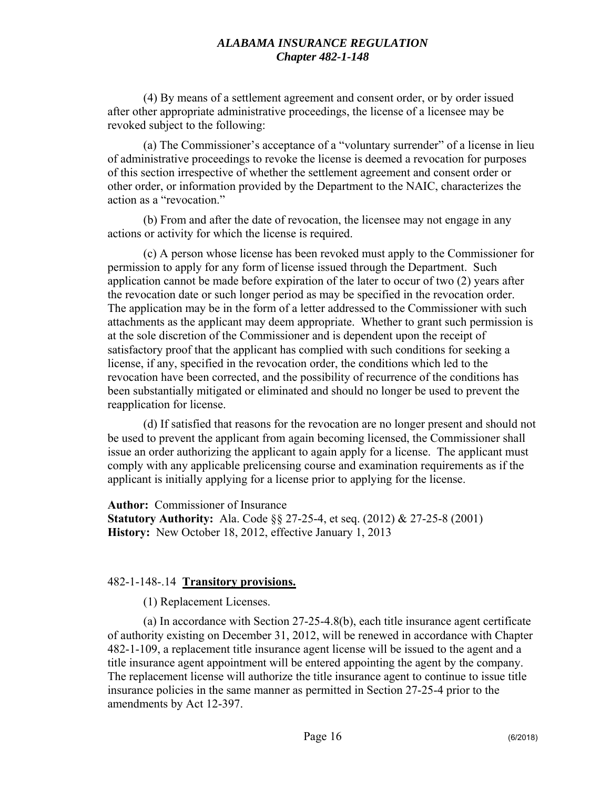(4) By means of a settlement agreement and consent order, or by order issued after other appropriate administrative proceedings, the license of a licensee may be revoked subject to the following:

(a) The Commissioner's acceptance of a "voluntary surrender" of a license in lieu of administrative proceedings to revoke the license is deemed a revocation for purposes of this section irrespective of whether the settlement agreement and consent order or other order, or information provided by the Department to the NAIC, characterizes the action as a "revocation."

(b) From and after the date of revocation, the licensee may not engage in any actions or activity for which the license is required.

(c) A person whose license has been revoked must apply to the Commissioner for permission to apply for any form of license issued through the Department. Such application cannot be made before expiration of the later to occur of two (2) years after the revocation date or such longer period as may be specified in the revocation order. The application may be in the form of a letter addressed to the Commissioner with such attachments as the applicant may deem appropriate. Whether to grant such permission is at the sole discretion of the Commissioner and is dependent upon the receipt of satisfactory proof that the applicant has complied with such conditions for seeking a license, if any, specified in the revocation order, the conditions which led to the revocation have been corrected, and the possibility of recurrence of the conditions has been substantially mitigated or eliminated and should no longer be used to prevent the reapplication for license.

(d) If satisfied that reasons for the revocation are no longer present and should not be used to prevent the applicant from again becoming licensed, the Commissioner shall issue an order authorizing the applicant to again apply for a license. The applicant must comply with any applicable prelicensing course and examination requirements as if the applicant is initially applying for a license prior to applying for the license.

**Author:** Commissioner of Insurance **Statutory Authority:** Ala. Code §§ 27-25-4, et seq. (2012) & 27-25-8 (2001) **History:** New October 18, 2012, effective January 1, 2013

# 482-1-148-.14 **Transitory provisions.**

(1) Replacement Licenses.

(a) In accordance with Section 27-25-4.8(b), each title insurance agent certificate of authority existing on December 31, 2012, will be renewed in accordance with Chapter 482-1-109, a replacement title insurance agent license will be issued to the agent and a title insurance agent appointment will be entered appointing the agent by the company. The replacement license will authorize the title insurance agent to continue to issue title insurance policies in the same manner as permitted in Section 27-25-4 prior to the amendments by Act 12-397.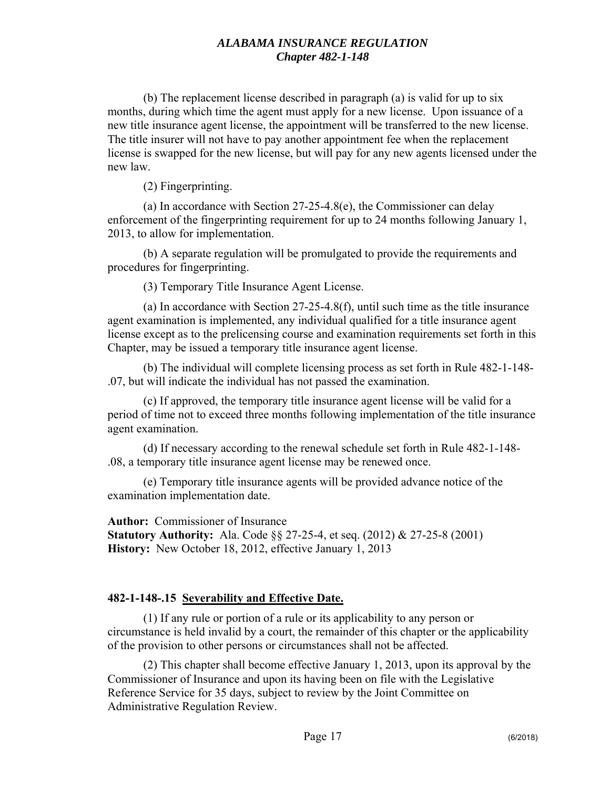(b) The replacement license described in paragraph (a) is valid for up to six months, during which time the agent must apply for a new license. Upon issuance of a new title insurance agent license, the appointment will be transferred to the new license. The title insurer will not have to pay another appointment fee when the replacement license is swapped for the new license, but will pay for any new agents licensed under the new law.

(2) Fingerprinting.

(a) In accordance with Section 27-25-4.8(e), the Commissioner can delay enforcement of the fingerprinting requirement for up to 24 months following January 1, 2013, to allow for implementation.

(b) A separate regulation will be promulgated to provide the requirements and procedures for fingerprinting.

(3) Temporary Title Insurance Agent License.

(a) In accordance with Section 27-25-4.8(f), until such time as the title insurance agent examination is implemented, any individual qualified for a title insurance agent license except as to the prelicensing course and examination requirements set forth in this Chapter, may be issued a temporary title insurance agent license.

(b) The individual will complete licensing process as set forth in Rule 482-1-148- .07, but will indicate the individual has not passed the examination.

(c) If approved, the temporary title insurance agent license will be valid for a period of time not to exceed three months following implementation of the title insurance agent examination.

(d) If necessary according to the renewal schedule set forth in Rule 482-1-148- .08, a temporary title insurance agent license may be renewed once.

(e) Temporary title insurance agents will be provided advance notice of the examination implementation date.

**Author:** Commissioner of Insurance **Statutory Authority:** Ala. Code §§ 27-25-4, et seq. (2012) & 27-25-8 (2001) **History:** New October 18, 2012, effective January 1, 2013

# **482-1-148-.15 Severability and Effective Date.**

(1) If any rule or portion of a rule or its applicability to any person or circumstance is held invalid by a court, the remainder of this chapter or the applicability of the provision to other persons or circumstances shall not be affected.

(2) This chapter shall become effective January 1, 2013, upon its approval by the Commissioner of Insurance and upon its having been on file with the Legislative Reference Service for 35 days, subject to review by the Joint Committee on Administrative Regulation Review.